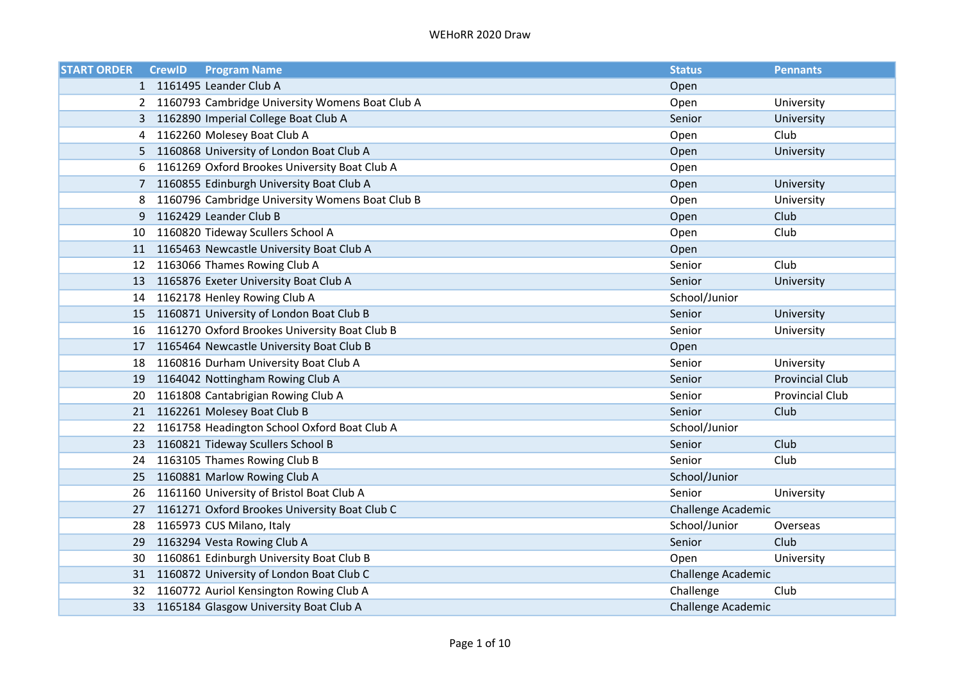| <b>START ORDER</b> | <b>CrewID</b> | <b>Program Name</b>                               | <b>Status</b>      | <b>Pennants</b>        |
|--------------------|---------------|---------------------------------------------------|--------------------|------------------------|
|                    |               | 1 1161495 Leander Club A                          | Open               |                        |
|                    |               | 2 1160793 Cambridge University Womens Boat Club A | Open               | University             |
| 3                  |               | 1162890 Imperial College Boat Club A              | Senior             | University             |
| 4                  |               | 1162260 Molesey Boat Club A                       | Open               | Club                   |
| 5                  |               | 1160868 University of London Boat Club A          | Open               | University             |
| 6                  |               | 1161269 Oxford Brookes University Boat Club A     | Open               |                        |
| 7                  |               | 1160855 Edinburgh University Boat Club A          | Open               | University             |
| 8                  |               | 1160796 Cambridge University Womens Boat Club B   | Open               | University             |
| 9                  |               | 1162429 Leander Club B                            | Open               | Club                   |
| 10                 |               | 1160820 Tideway Scullers School A                 | Open               | Club                   |
|                    |               | 11 1165463 Newcastle University Boat Club A       | Open               |                        |
|                    |               | 12 1163066 Thames Rowing Club A                   | Senior             | Club                   |
| 13                 |               | 1165876 Exeter University Boat Club A             | Senior             | University             |
| 14                 |               | 1162178 Henley Rowing Club A                      | School/Junior      |                        |
| 15                 |               | 1160871 University of London Boat Club B          | Senior             | University             |
| 16                 |               | 1161270 Oxford Brookes University Boat Club B     | Senior             | University             |
| 17                 |               | 1165464 Newcastle University Boat Club B          | Open               |                        |
| 18                 |               | 1160816 Durham University Boat Club A             | Senior             | University             |
| 19                 |               | 1164042 Nottingham Rowing Club A                  | Senior             | <b>Provincial Club</b> |
| 20.                |               | 1161808 Cantabrigian Rowing Club A                | Senior             | <b>Provincial Club</b> |
|                    |               | 21 1162261 Molesey Boat Club B                    | Senior             | Club                   |
| 22.                |               | 1161758 Headington School Oxford Boat Club A      | School/Junior      |                        |
| 23                 |               | 1160821 Tideway Scullers School B                 | Senior             | Club                   |
| 24                 |               | 1163105 Thames Rowing Club B                      | Senior             | Club                   |
| 25                 |               | 1160881 Marlow Rowing Club A                      | School/Junior      |                        |
| 26                 |               | 1161160 University of Bristol Boat Club A         | Senior             | University             |
| 27                 |               | 1161271 Oxford Brookes University Boat Club C     | Challenge Academic |                        |
| 28                 |               | 1165973 CUS Milano, Italy                         | School/Junior      | Overseas               |
| 29.                |               | 1163294 Vesta Rowing Club A                       | Senior             | Club                   |
| 30                 |               | 1160861 Edinburgh University Boat Club B          | Open               | University             |
|                    |               | 31 1160872 University of London Boat Club C       | Challenge Academic |                        |
| 32                 |               | 1160772 Auriol Kensington Rowing Club A           | Challenge          | Club                   |
| 33                 |               | 1165184 Glasgow University Boat Club A            | Challenge Academic |                        |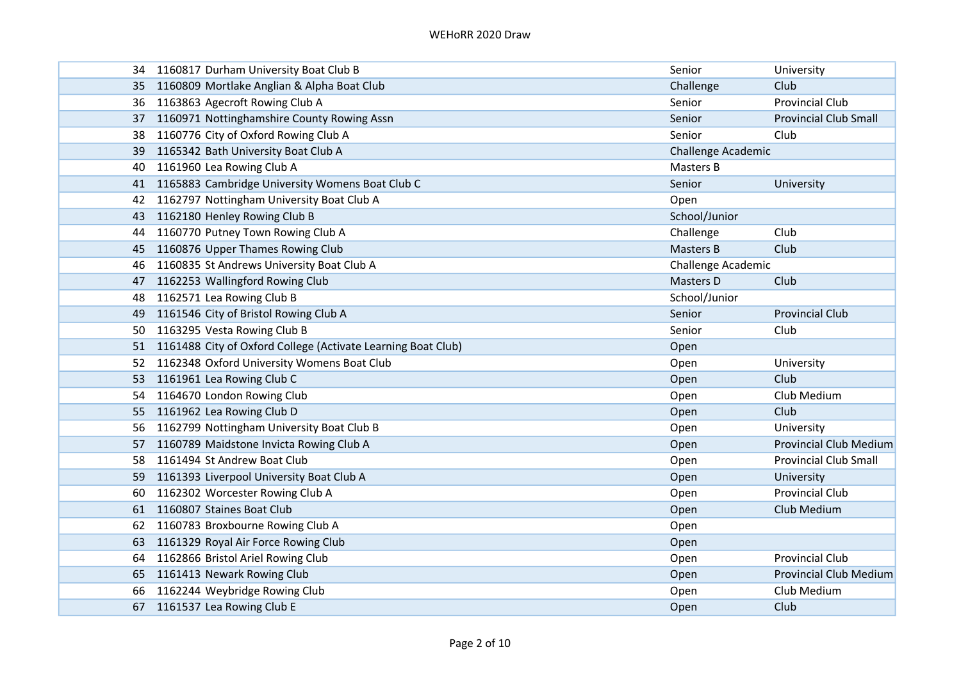|     | 34 1160817 Durham University Boat Club B                     | Senior             | University                    |
|-----|--------------------------------------------------------------|--------------------|-------------------------------|
|     | 35 1160809 Mortlake Anglian & Alpha Boat Club                | Challenge          | Club                          |
| 36  | 1163863 Agecroft Rowing Club A                               | Senior             | <b>Provincial Club</b>        |
| 37  | 1160971 Nottinghamshire County Rowing Assn                   | Senior             | <b>Provincial Club Small</b>  |
| 38  | 1160776 City of Oxford Rowing Club A                         | Senior             | Club                          |
| 39. | 1165342 Bath University Boat Club A                          | Challenge Academic |                               |
| 40  | 1161960 Lea Rowing Club A                                    | Masters B          |                               |
| 41  | 1165883 Cambridge University Womens Boat Club C              | Senior             | University                    |
| 42  | 1162797 Nottingham University Boat Club A                    | Open               |                               |
|     | 43 1162180 Henley Rowing Club B                              | School/Junior      |                               |
|     | 44 1160770 Putney Town Rowing Club A                         | Challenge          | Club                          |
|     | 45 1160876 Upper Thames Rowing Club                          | <b>Masters B</b>   | Club                          |
| 46  | 1160835 St Andrews University Boat Club A                    | Challenge Academic |                               |
| 47  | 1162253 Wallingford Rowing Club                              | Masters D          | Club                          |
|     | 48 1162571 Lea Rowing Club B                                 | School/Junior      |                               |
| 49  | 1161546 City of Bristol Rowing Club A                        | Senior             | <b>Provincial Club</b>        |
| 50. | 1163295 Vesta Rowing Club B                                  | Senior             | Club                          |
| 51. | 1161488 City of Oxford College (Activate Learning Boat Club) | Open               |                               |
| 52. | 1162348 Oxford University Womens Boat Club                   | Open               | University                    |
|     | 53 1161961 Lea Rowing Club C                                 | Open               | Club                          |
|     | 54 1164670 London Rowing Club                                | Open               | Club Medium                   |
|     | 55 1161962 Lea Rowing Club D                                 | Open               | Club                          |
| 56  | 1162799 Nottingham University Boat Club B                    | Open               | University                    |
| 57. | 1160789 Maidstone Invicta Rowing Club A                      | Open               | <b>Provincial Club Medium</b> |
|     | 58 1161494 St Andrew Boat Club                               | Open               | <b>Provincial Club Small</b>  |
|     | 59 1161393 Liverpool University Boat Club A                  | Open               | University                    |
| 60  | 1162302 Worcester Rowing Club A                              | Open               | <b>Provincial Club</b>        |
| 61  | 1160807 Staines Boat Club                                    | Open               | Club Medium                   |
| 62  | 1160783 Broxbourne Rowing Club A                             | Open               |                               |
|     | 63 1161329 Royal Air Force Rowing Club                       | Open               |                               |
|     | 64 1162866 Bristol Ariel Rowing Club                         | Open               | <b>Provincial Club</b>        |
|     | 65 1161413 Newark Rowing Club                                | Open               | <b>Provincial Club Medium</b> |
| 66  | 1162244 Weybridge Rowing Club                                | Open               | Club Medium                   |
| 67  | 1161537 Lea Rowing Club E                                    | Open               | Club                          |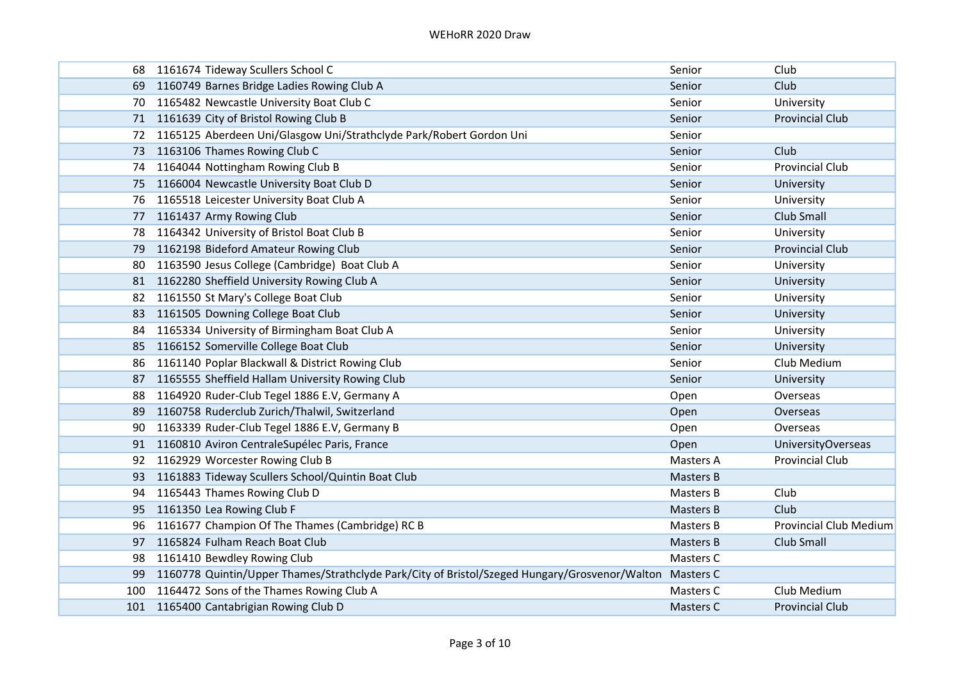| 68  | 1161674 Tideway Scullers School C                                                                       | Senior           | Club                          |
|-----|---------------------------------------------------------------------------------------------------------|------------------|-------------------------------|
| 69  | 1160749 Barnes Bridge Ladies Rowing Club A                                                              | Senior           | Club                          |
| 70  | 1165482 Newcastle University Boat Club C                                                                | Senior           | University                    |
|     | 71 1161639 City of Bristol Rowing Club B                                                                | Senior           | <b>Provincial Club</b>        |
| 72. | 1165125 Aberdeen Uni/Glasgow Uni/Strathclyde Park/Robert Gordon Uni                                     | Senior           |                               |
| 73  | 1163106 Thames Rowing Club C                                                                            | Senior           | Club                          |
| 74  | 1164044 Nottingham Rowing Club B                                                                        | Senior           | <b>Provincial Club</b>        |
| 75  | 1166004 Newcastle University Boat Club D                                                                | Senior           | University                    |
| 76  | 1165518 Leicester University Boat Club A                                                                | Senior           | University                    |
|     | 77 1161437 Army Rowing Club                                                                             | Senior           | Club Small                    |
| 78  | 1164342 University of Bristol Boat Club B                                                               | Senior           | University                    |
|     | 79 1162198 Bideford Amateur Rowing Club                                                                 | Senior           | <b>Provincial Club</b>        |
| 80  | 1163590 Jesus College (Cambridge) Boat Club A                                                           | Senior           | University                    |
| 81  | 1162280 Sheffield University Rowing Club A                                                              | Senior           | University                    |
|     | 82 1161550 St Mary's College Boat Club                                                                  | Senior           | University                    |
| 83  | 1161505 Downing College Boat Club                                                                       | Senior           | University                    |
| 84  | 1165334 University of Birmingham Boat Club A                                                            | Senior           | University                    |
| 85  | 1166152 Somerville College Boat Club                                                                    | Senior           | University                    |
| 86  | 1161140 Poplar Blackwall & District Rowing Club                                                         | Senior           | Club Medium                   |
| 87  | 1165555 Sheffield Hallam University Rowing Club                                                         | Senior           | University                    |
| 88  | 1164920 Ruder-Club Tegel 1886 E.V, Germany A                                                            | Open             | Overseas                      |
| 89  | 1160758 Ruderclub Zurich/Thalwil, Switzerland                                                           | Open             | Overseas                      |
| 90  | 1163339 Ruder-Club Tegel 1886 E.V, Germany B                                                            | Open             | Overseas                      |
| 91  | 1160810 Aviron CentraleSupélec Paris, France                                                            | Open             | <b>UniversityOverseas</b>     |
| 92  | 1162929 Worcester Rowing Club B                                                                         | Masters A        | <b>Provincial Club</b>        |
| 93  | 1161883 Tideway Scullers School/Quintin Boat Club                                                       | Masters B        |                               |
| 94  | 1165443 Thames Rowing Club D                                                                            | Masters B        | Club                          |
| 95  | 1161350 Lea Rowing Club F                                                                               | Masters B        | Club                          |
| 96  | 1161677 Champion Of The Thames (Cambridge) RC B                                                         | Masters B        | <b>Provincial Club Medium</b> |
| 97  | 1165824 Fulham Reach Boat Club                                                                          | <b>Masters B</b> | Club Small                    |
| 98  | 1161410 Bewdley Rowing Club                                                                             | Masters C        |                               |
| 99  | 1160778 Quintin/Upper Thames/Strathclyde Park/City of Bristol/Szeged Hungary/Grosvenor/Walton Masters C |                  |                               |
| 100 | 1164472 Sons of the Thames Rowing Club A                                                                | Masters C        | Club Medium                   |
|     | 101 1165400 Cantabrigian Rowing Club D                                                                  | Masters C        | <b>Provincial Club</b>        |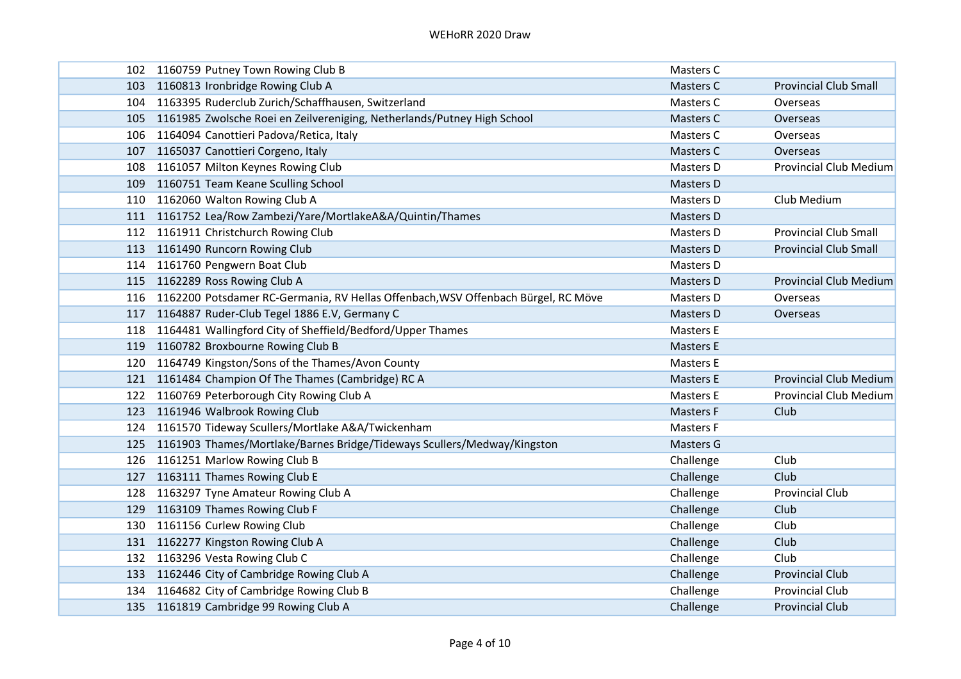|     | 102 1160759 Putney Town Rowing Club B                                                 | Masters C        |                               |
|-----|---------------------------------------------------------------------------------------|------------------|-------------------------------|
| 103 | 1160813 Ironbridge Rowing Club A                                                      | Masters C        | <b>Provincial Club Small</b>  |
| 104 | 1163395 Ruderclub Zurich/Schaffhausen, Switzerland                                    | Masters C        | Overseas                      |
|     | 105 1161985 Zwolsche Roei en Zeilvereniging, Netherlands/Putney High School           | <b>Masters C</b> | Overseas                      |
|     | 106 1164094 Canottieri Padova/Retica, Italy                                           | Masters C        | Overseas                      |
| 107 | 1165037 Canottieri Corgeno, Italy                                                     | Masters C        | Overseas                      |
| 108 | 1161057 Milton Keynes Rowing Club                                                     | Masters D        | <b>Provincial Club Medium</b> |
| 109 | 1160751 Team Keane Sculling School                                                    | Masters D        |                               |
|     | 110 1162060 Walton Rowing Club A                                                      | Masters D        | Club Medium                   |
|     | 111 1161752 Lea/Row Zambezi/Yare/MortlakeA&A/Quintin/Thames                           | Masters D        |                               |
|     | 112 1161911 Christchurch Rowing Club                                                  | Masters D        | <b>Provincial Club Small</b>  |
|     | 113 1161490 Runcorn Rowing Club                                                       | Masters D        | <b>Provincial Club Small</b>  |
|     | 114 1161760 Pengwern Boat Club                                                        | Masters D        |                               |
|     | 115 1162289 Ross Rowing Club A                                                        | Masters D        | <b>Provincial Club Medium</b> |
|     | 116 1162200 Potsdamer RC-Germania, RV Hellas Offenbach, WSV Offenbach Bürgel, RC Möve | Masters D        | Overseas                      |
| 117 | 1164887 Ruder-Club Tegel 1886 E.V, Germany C                                          | <b>Masters D</b> | Overseas                      |
| 118 | 1164481 Wallingford City of Sheffield/Bedford/Upper Thames                            | Masters E        |                               |
| 119 | 1160782 Broxbourne Rowing Club B                                                      | <b>Masters E</b> |                               |
| 120 | 1164749 Kingston/Sons of the Thames/Avon County                                       | Masters E        |                               |
|     | 121 1161484 Champion Of The Thames (Cambridge) RC A                                   | <b>Masters E</b> | <b>Provincial Club Medium</b> |
|     | 122 1160769 Peterborough City Rowing Club A                                           | Masters E        | <b>Provincial Club Medium</b> |
|     | 123 1161946 Walbrook Rowing Club                                                      | <b>Masters F</b> | Club                          |
| 124 | 1161570 Tideway Scullers/Mortlake A&A/Twickenham                                      | <b>Masters F</b> |                               |
| 125 | 1161903 Thames/Mortlake/Barnes Bridge/Tideways Scullers/Medway/Kingston               | Masters G        |                               |
|     | 126 1161251 Marlow Rowing Club B                                                      | Challenge        | Club                          |
|     | 127 1163111 Thames Rowing Club E                                                      | Challenge        | Club                          |
| 128 | 1163297 Tyne Amateur Rowing Club A                                                    | Challenge        | <b>Provincial Club</b>        |
| 129 | 1163109 Thames Rowing Club F                                                          | Challenge        | Club                          |
| 130 | 1161156 Curlew Rowing Club                                                            | Challenge        | Club                          |
|     | 131 1162277 Kingston Rowing Club A                                                    | Challenge        | Club                          |
|     | 132 1163296 Vesta Rowing Club C                                                       | Challenge        | Club                          |
|     | 133 1162446 City of Cambridge Rowing Club A                                           | Challenge        | <b>Provincial Club</b>        |
|     | 134 1164682 City of Cambridge Rowing Club B                                           | Challenge        | <b>Provincial Club</b>        |
|     | 135 1161819 Cambridge 99 Rowing Club A                                                | Challenge        | <b>Provincial Club</b>        |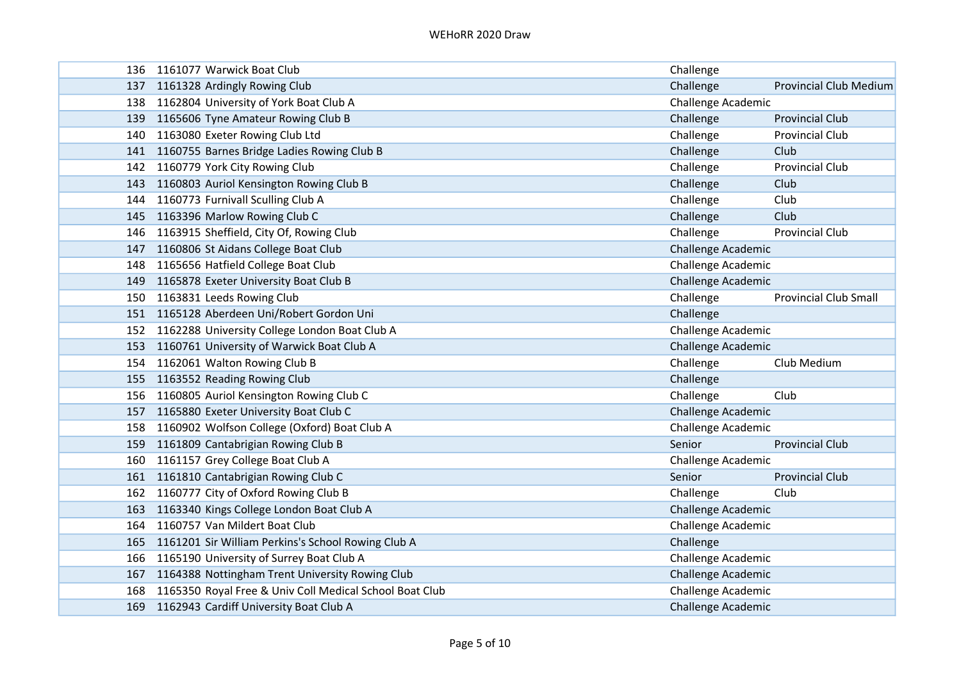| 136 | 1161077 Warwick Boat Club                                   | Challenge                 |                               |
|-----|-------------------------------------------------------------|---------------------------|-------------------------------|
| 137 | 1161328 Ardingly Rowing Club                                | Challenge                 | <b>Provincial Club Medium</b> |
|     | 138 1162804 University of York Boat Club A                  | Challenge Academic        |                               |
|     | 139 1165606 Tyne Amateur Rowing Club B                      | Challenge                 | <b>Provincial Club</b>        |
|     | 140 1163080 Exeter Rowing Club Ltd                          | Challenge                 | <b>Provincial Club</b>        |
|     | 141 1160755 Barnes Bridge Ladies Rowing Club B              | Challenge                 | Club                          |
| 142 | 1160779 York City Rowing Club                               | Challenge                 | <b>Provincial Club</b>        |
| 143 | 1160803 Auriol Kensington Rowing Club B                     | Challenge                 | Club                          |
| 144 | 1160773 Furnivall Sculling Club A                           | Challenge                 | Club                          |
|     | 145 1163396 Marlow Rowing Club C                            | Challenge                 | Club                          |
|     | 146 1163915 Sheffield, City Of, Rowing Club                 | Challenge                 | <b>Provincial Club</b>        |
|     | 147 1160806 St Aidans College Boat Club                     | Challenge Academic        |                               |
| 148 | 1165656 Hatfield College Boat Club                          | Challenge Academic        |                               |
|     | 149 1165878 Exeter University Boat Club B                   | <b>Challenge Academic</b> |                               |
|     | 150 1163831 Leeds Rowing Club                               | Challenge                 | <b>Provincial Club Small</b>  |
|     | 151 1165128 Aberdeen Uni/Robert Gordon Uni                  | Challenge                 |                               |
|     | 152 1162288 University College London Boat Club A           | Challenge Academic        |                               |
| 153 | 1160761 University of Warwick Boat Club A                   | <b>Challenge Academic</b> |                               |
| 154 | 1162061 Walton Rowing Club B                                | Challenge                 | Club Medium                   |
|     | 155 1163552 Reading Rowing Club                             | Challenge                 |                               |
|     | 156 1160805 Auriol Kensington Rowing Club C                 | Challenge                 | Club                          |
|     | 157 1165880 Exeter University Boat Club C                   | <b>Challenge Academic</b> |                               |
|     | 158 1160902 Wolfson College (Oxford) Boat Club A            | <b>Challenge Academic</b> |                               |
|     | 159 1161809 Cantabrigian Rowing Club B                      | Senior                    | <b>Provincial Club</b>        |
|     | 160 1161157 Grey College Boat Club A                        | Challenge Academic        |                               |
|     | 161 1161810 Cantabrigian Rowing Club C                      | Senior                    | <b>Provincial Club</b>        |
|     | 162 1160777 City of Oxford Rowing Club B                    | Challenge                 | Club                          |
| 163 | 1163340 Kings College London Boat Club A                    | Challenge Academic        |                               |
| 164 | 1160757 Van Mildert Boat Club                               | Challenge Academic        |                               |
|     | 165 1161201 Sir William Perkins's School Rowing Club A      | Challenge                 |                               |
|     | 166 1165190 University of Surrey Boat Club A                | Challenge Academic        |                               |
|     | 167 1164388 Nottingham Trent University Rowing Club         | <b>Challenge Academic</b> |                               |
|     | 168 1165350 Royal Free & Univ Coll Medical School Boat Club | Challenge Academic        |                               |
|     | 169 1162943 Cardiff University Boat Club A                  | Challenge Academic        |                               |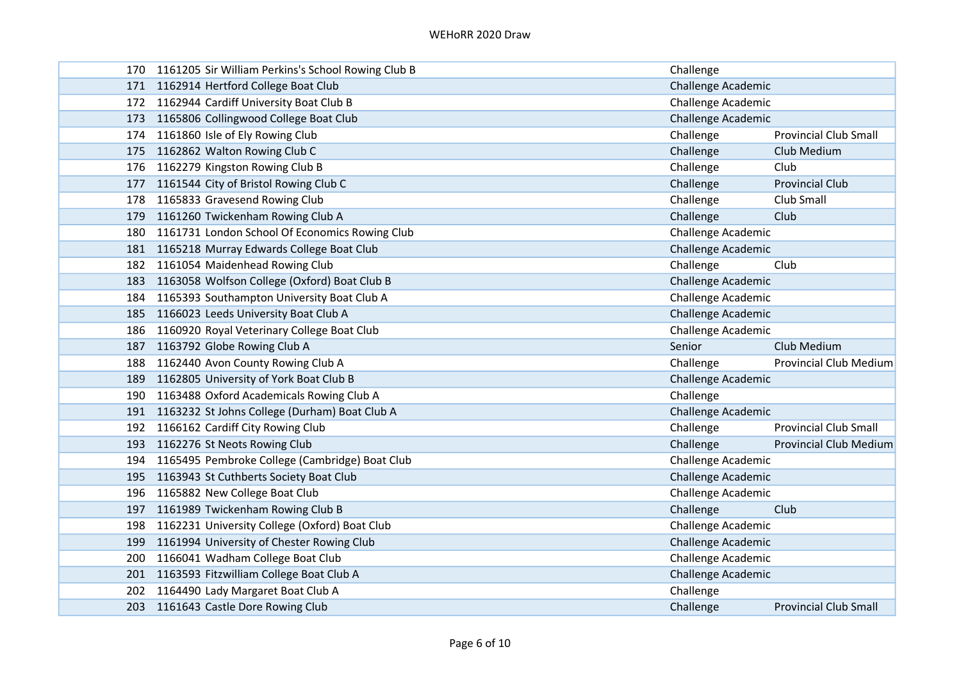|     | 170 1161205 Sir William Perkins's School Rowing Club B | Challenge                 |                               |
|-----|--------------------------------------------------------|---------------------------|-------------------------------|
|     | 171 1162914 Hertford College Boat Club                 | Challenge Academic        |                               |
|     | 172 1162944 Cardiff University Boat Club B             | Challenge Academic        |                               |
|     | 173 1165806 Collingwood College Boat Club              | Challenge Academic        |                               |
|     | 174 1161860 Isle of Ely Rowing Club                    | Challenge                 | <b>Provincial Club Small</b>  |
|     | 175 1162862 Walton Rowing Club C                       | Challenge                 | Club Medium                   |
|     | 176 1162279 Kingston Rowing Club B                     | Challenge                 | Club                          |
| 177 | 1161544 City of Bristol Rowing Club C                  | Challenge                 | <b>Provincial Club</b>        |
|     | 178 1165833 Gravesend Rowing Club                      | Challenge                 | Club Small                    |
|     | 179 1161260 Twickenham Rowing Club A                   | Challenge                 | Club                          |
|     | 180 1161731 London School Of Economics Rowing Club     | Challenge Academic        |                               |
|     | 181 1165218 Murray Edwards College Boat Club           | Challenge Academic        |                               |
|     | 182 1161054 Maidenhead Rowing Club                     | Challenge                 | Club                          |
|     | 183 1163058 Wolfson College (Oxford) Boat Club B       | Challenge Academic        |                               |
|     | 184 1165393 Southampton University Boat Club A         | Challenge Academic        |                               |
|     | 185 1166023 Leeds University Boat Club A               | Challenge Academic        |                               |
|     | 186 1160920 Royal Veterinary College Boat Club         | Challenge Academic        |                               |
|     | 187 1163792 Globe Rowing Club A                        | Senior                    | Club Medium                   |
|     | 188 1162440 Avon County Rowing Club A                  | Challenge                 | <b>Provincial Club Medium</b> |
|     | 189 1162805 University of York Boat Club B             | Challenge Academic        |                               |
|     | 190 1163488 Oxford Academicals Rowing Club A           | Challenge                 |                               |
|     | 191 1163232 St Johns College (Durham) Boat Club A      | Challenge Academic        |                               |
|     | 192 1166162 Cardiff City Rowing Club                   | Challenge                 | <b>Provincial Club Small</b>  |
|     | 193 1162276 St Neots Rowing Club                       | Challenge                 | <b>Provincial Club Medium</b> |
|     | 194 1165495 Pembroke College (Cambridge) Boat Club     | Challenge Academic        |                               |
|     | 195 1163943 St Cuthberts Society Boat Club             | Challenge Academic        |                               |
|     | 196 1165882 New College Boat Club                      | Challenge Academic        |                               |
| 197 | 1161989 Twickenham Rowing Club B                       | Challenge                 | Club                          |
| 198 | 1162231 University College (Oxford) Boat Club          | Challenge Academic        |                               |
|     | 199 1161994 University of Chester Rowing Club          | <b>Challenge Academic</b> |                               |
|     | 200 1166041 Wadham College Boat Club                   | Challenge Academic        |                               |
|     | 201 1163593 Fitzwilliam College Boat Club A            | Challenge Academic        |                               |
|     | 202 1164490 Lady Margaret Boat Club A                  | Challenge                 |                               |
|     | 203 1161643 Castle Dore Rowing Club                    | Challenge                 | <b>Provincial Club Small</b>  |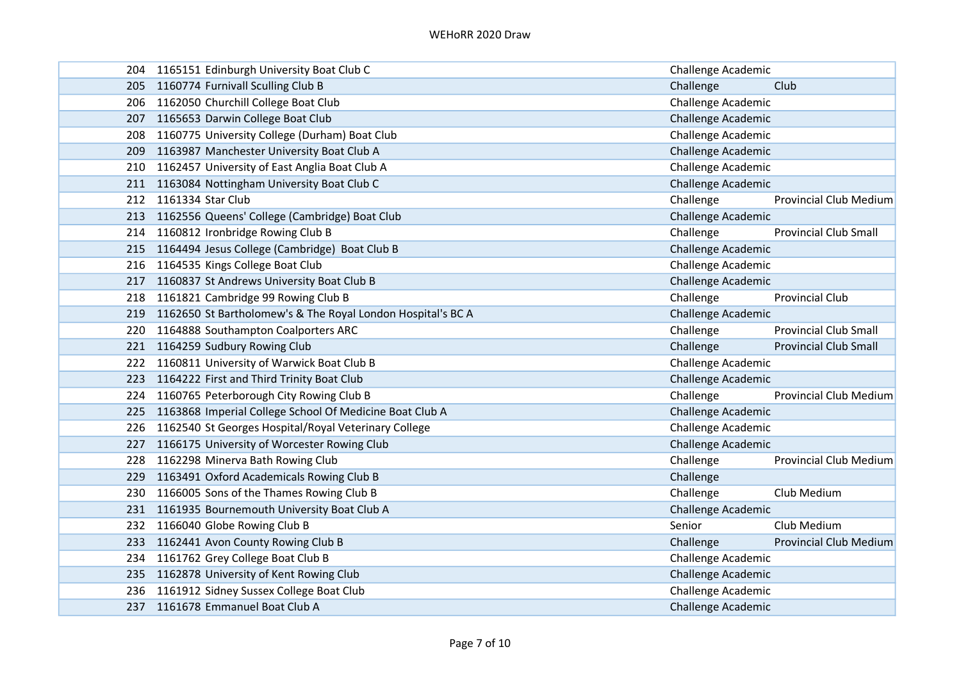|     | 204 1165151 Edinburgh University Boat Club C                    | Challenge Academic        |                               |
|-----|-----------------------------------------------------------------|---------------------------|-------------------------------|
|     | 205 1160774 Furnivall Sculling Club B                           | Challenge                 | Club                          |
|     | 206 1162050 Churchill College Boat Club                         | Challenge Academic        |                               |
|     | 207 1165653 Darwin College Boat Club                            | <b>Challenge Academic</b> |                               |
|     | 208 1160775 University College (Durham) Boat Club               | Challenge Academic        |                               |
| 209 | 1163987 Manchester University Boat Club A                       | Challenge Academic        |                               |
|     | 210 1162457 University of East Anglia Boat Club A               | <b>Challenge Academic</b> |                               |
| 211 | 1163084 Nottingham University Boat Club C                       | Challenge Academic        |                               |
| 212 | 1161334 Star Club                                               | Challenge                 | <b>Provincial Club Medium</b> |
|     | 213 1162556 Queens' College (Cambridge) Boat Club               | Challenge Academic        |                               |
|     | 214 1160812 Ironbridge Rowing Club B                            | Challenge                 | <b>Provincial Club Small</b>  |
|     | 215 1164494 Jesus College (Cambridge) Boat Club B               | <b>Challenge Academic</b> |                               |
|     | 216 1164535 Kings College Boat Club                             | Challenge Academic        |                               |
| 217 | 1160837 St Andrews University Boat Club B                       | Challenge Academic        |                               |
|     | 218 1161821 Cambridge 99 Rowing Club B                          | Challenge                 | <b>Provincial Club</b>        |
|     | 219 1162650 St Bartholomew's & The Royal London Hospital's BC A | <b>Challenge Academic</b> |                               |
|     | 220 1164888 Southampton Coalporters ARC                         | Challenge                 | <b>Provincial Club Small</b>  |
|     | 221 1164259 Sudbury Rowing Club                                 | Challenge                 | <b>Provincial Club Small</b>  |
| 222 | 1160811 University of Warwick Boat Club B                       | Challenge Academic        |                               |
|     | 223 1164222 First and Third Trinity Boat Club                   | Challenge Academic        |                               |
|     | 224 1160765 Peterborough City Rowing Club B                     | Challenge                 | Provincial Club Medium        |
|     | 225 1163868 Imperial College School Of Medicine Boat Club A     | Challenge Academic        |                               |
|     | 226 1162540 St Georges Hospital/Royal Veterinary College        | Challenge Academic        |                               |
|     | 227 1166175 University of Worcester Rowing Club                 | <b>Challenge Academic</b> |                               |
|     | 228 1162298 Minerva Bath Rowing Club                            | Challenge                 | <b>Provincial Club Medium</b> |
| 229 | 1163491 Oxford Academicals Rowing Club B                        | Challenge                 |                               |
|     | 230 1166005 Sons of the Thames Rowing Club B                    | Challenge                 | Club Medium                   |
| 231 | 1161935 Bournemouth University Boat Club A                      | Challenge Academic        |                               |
|     | 232 1166040 Globe Rowing Club B                                 | Senior                    | Club Medium                   |
|     | 233 1162441 Avon County Rowing Club B                           | Challenge                 | <b>Provincial Club Medium</b> |
|     | 234 1161762 Grey College Boat Club B                            | Challenge Academic        |                               |
|     | 235 1162878 University of Kent Rowing Club                      | Challenge Academic        |                               |
|     | 236 1161912 Sidney Sussex College Boat Club                     | Challenge Academic        |                               |
|     | 237 1161678 Emmanuel Boat Club A                                | <b>Challenge Academic</b> |                               |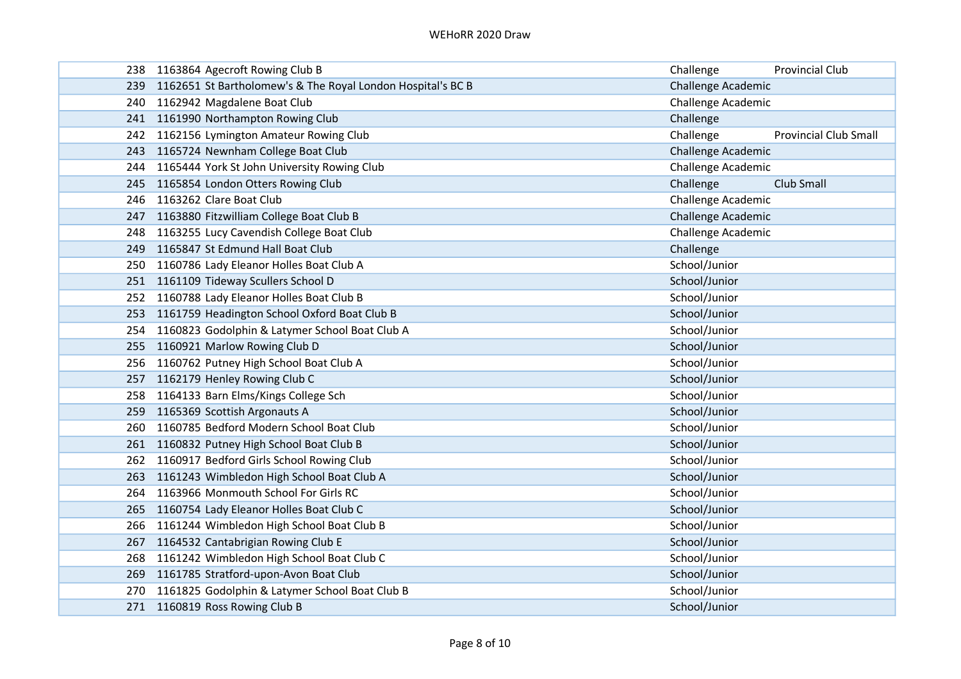|     | 238 1163864 Agecroft Rowing Club B                              | Challenge                 | <b>Provincial Club</b>       |
|-----|-----------------------------------------------------------------|---------------------------|------------------------------|
|     | 239 1162651 St Bartholomew's & The Royal London Hospital's BC B | Challenge Academic        |                              |
|     | 240 1162942 Magdalene Boat Club                                 | Challenge Academic        |                              |
|     | 241 1161990 Northampton Rowing Club                             | Challenge                 |                              |
|     | 242 1162156 Lymington Amateur Rowing Club                       | Challenge                 | <b>Provincial Club Small</b> |
|     | 243 1165724 Newnham College Boat Club                           | Challenge Academic        |                              |
| 244 | 1165444 York St John University Rowing Club                     | Challenge Academic        |                              |
|     | 245 1165854 London Otters Rowing Club                           | Challenge                 | Club Small                   |
|     | 246 1163262 Clare Boat Club                                     | Challenge Academic        |                              |
|     | 247 1163880 Fitzwilliam College Boat Club B                     | <b>Challenge Academic</b> |                              |
|     | 248 1163255 Lucy Cavendish College Boat Club                    | Challenge Academic        |                              |
|     | 249 1165847 St Edmund Hall Boat Club                            | Challenge                 |                              |
|     | 250 1160786 Lady Eleanor Holles Boat Club A                     | School/Junior             |                              |
|     | 251 1161109 Tideway Scullers School D                           | School/Junior             |                              |
|     | 252 1160788 Lady Eleanor Holles Boat Club B                     | School/Junior             |                              |
| 253 | 1161759 Headington School Oxford Boat Club B                    | School/Junior             |                              |
| 254 | 1160823 Godolphin & Latymer School Boat Club A                  | School/Junior             |                              |
|     | 255 1160921 Marlow Rowing Club D                                | School/Junior             |                              |
| 256 | 1160762 Putney High School Boat Club A                          | School/Junior             |                              |
|     | 257 1162179 Henley Rowing Club C                                | School/Junior             |                              |
|     | 258 1164133 Barn Elms/Kings College Sch                         | School/Junior             |                              |
|     | 259 1165369 Scottish Argonauts A                                | School/Junior             |                              |
| 260 | 1160785 Bedford Modern School Boat Club                         | School/Junior             |                              |
| 261 | 1160832 Putney High School Boat Club B                          | School/Junior             |                              |
|     | 262 1160917 Bedford Girls School Rowing Club                    | School/Junior             |                              |
| 263 | 1161243 Wimbledon High School Boat Club A                       | School/Junior             |                              |
| 264 | 1163966 Monmouth School For Girls RC                            | School/Junior             |                              |
| 265 | 1160754 Lady Eleanor Holles Boat Club C                         | School/Junior             |                              |
| 266 | 1161244 Wimbledon High School Boat Club B                       | School/Junior             |                              |
|     | 267 1164532 Cantabrigian Rowing Club E                          | School/Junior             |                              |
|     | 268 1161242 Wimbledon High School Boat Club C                   | School/Junior             |                              |
|     | 269 1161785 Stratford-upon-Avon Boat Club                       | School/Junior             |                              |
|     | 270 1161825 Godolphin & Latymer School Boat Club B              | School/Junior             |                              |
|     | 271 1160819 Ross Rowing Club B                                  | School/Junior             |                              |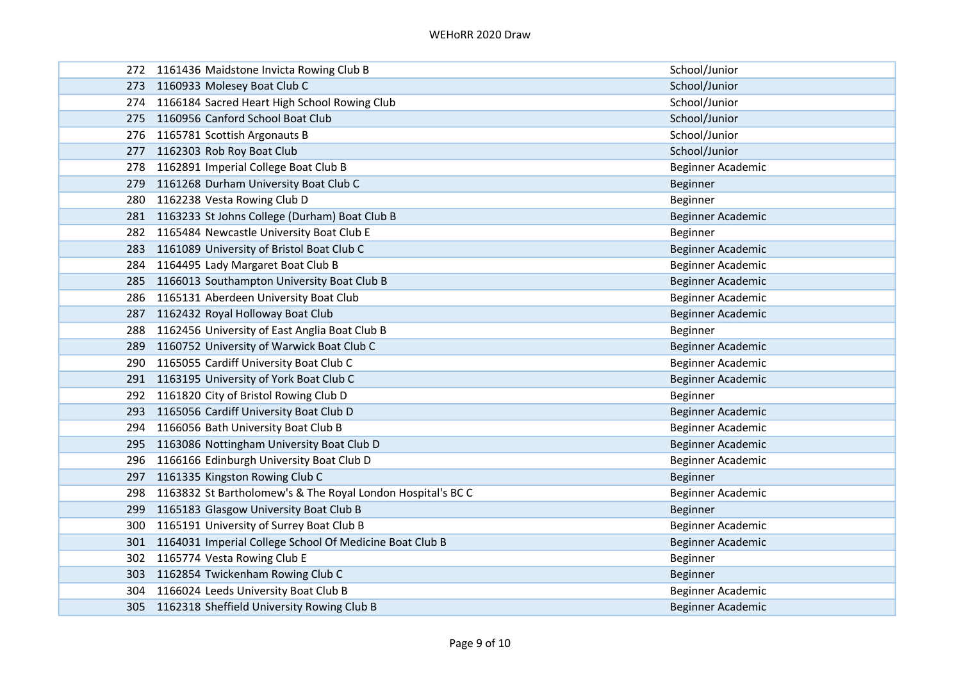|     | 272 1161436 Maidstone Invicta Rowing Club B                 | School/Junior     |
|-----|-------------------------------------------------------------|-------------------|
|     | 273 1160933 Molesey Boat Club C                             | School/Junior     |
|     | 274 1166184 Sacred Heart High School Rowing Club            | School/Junior     |
|     | 275 1160956 Canford School Boat Club                        | School/Junior     |
|     | 276 1165781 Scottish Argonauts B                            | School/Junior     |
|     | 277 1162303 Rob Roy Boat Club                               | School/Junior     |
|     | 278 1162891 Imperial College Boat Club B                    | Beginner Academic |
| 279 | 1161268 Durham University Boat Club C                       | Beginner          |
|     | 280 1162238 Vesta Rowing Club D                             | Beginner          |
|     | 281 1163233 St Johns College (Durham) Boat Club B           | Beginner Academic |
|     | 282 1165484 Newcastle University Boat Club E                | Beginner          |
|     | 283 1161089 University of Bristol Boat Club C               | Beginner Academic |
| 284 | 1164495 Lady Margaret Boat Club B                           | Beginner Academic |
|     | 285 1166013 Southampton University Boat Club B              | Beginner Academic |
|     | 286 1165131 Aberdeen University Boat Club                   | Beginner Academic |
| 287 | 1162432 Royal Holloway Boat Club                            | Beginner Academic |
|     | 288 1162456 University of East Anglia Boat Club B           | Beginner          |
|     | 289 1160752 University of Warwick Boat Club C               | Beginner Academic |
|     | 290 1165055 Cardiff University Boat Club C                  | Beginner Academic |
|     | 291 1163195 University of York Boat Club C                  | Beginner Academic |
|     | 292 1161820 City of Bristol Rowing Club D                   | Beginner          |
|     | 293 1165056 Cardiff University Boat Club D                  | Beginner Academic |
|     | 294 1166056 Bath University Boat Club B                     | Beginner Academic |
|     | 295 1163086 Nottingham University Boat Club D               | Beginner Academic |
|     | 296 1166166 Edinburgh University Boat Club D                | Beginner Academic |
| 297 | 1161335 Kingston Rowing Club C                              | Beginner          |
| 298 | 1163832 St Bartholomew's & The Royal London Hospital's BC C | Beginner Academic |
| 299 | 1165183 Glasgow University Boat Club B                      | <b>Beginner</b>   |
| 300 | 1165191 University of Surrey Boat Club B                    | Beginner Academic |
|     | 301 1164031 Imperial College School Of Medicine Boat Club B | Beginner Academic |
|     | 302 1165774 Vesta Rowing Club E                             | <b>Beginner</b>   |
|     | 303 1162854 Twickenham Rowing Club C                        | Beginner          |
|     | 304 1166024 Leeds University Boat Club B                    | Beginner Academic |
|     | 305 1162318 Sheffield University Rowing Club B              | Beginner Academic |